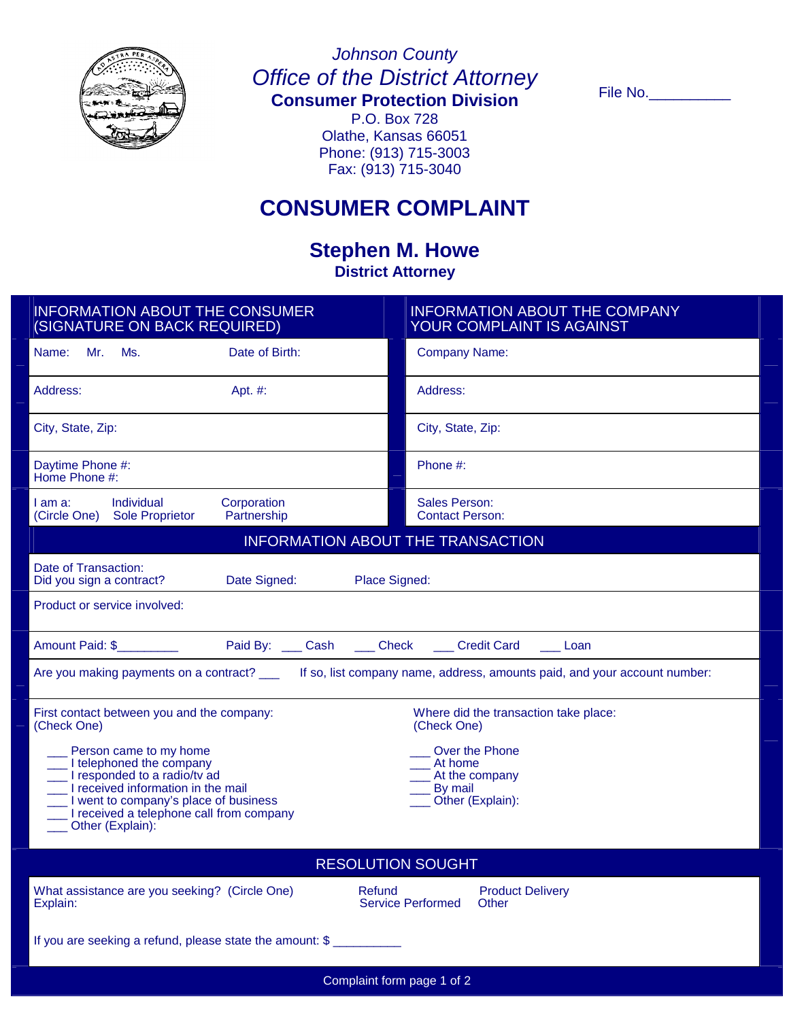

# *Johnson County Office of the District Attorney*

**Consumer Protection Division**

P.O. Box 728 Olathe, Kansas 66051 Phone: (913) 715-3003 Fax: (913) 715-3040

File No.

## **CONSUMER COMPLAINT**

### **Stephen M. Howe District Attorney**

| <b>INFORMATION ABOUT THE CONSUMER</b><br>(SIGNATURE ON BACK REQUIRED)                                                                  | <b>INFORMATION ABOUT THE COMPANY</b><br>YOUR COMPLAINT IS AGAINST |
|----------------------------------------------------------------------------------------------------------------------------------------|-------------------------------------------------------------------|
| Mr.<br>Ms.<br>Date of Birth:<br>Name:                                                                                                  | <b>Company Name:</b>                                              |
| Address:<br>Apt. #:                                                                                                                    | Address:                                                          |
| City, State, Zip:                                                                                                                      | City, State, Zip:                                                 |
| Daytime Phone #:<br>Home Phone #:                                                                                                      | Phone #:                                                          |
| Individual<br>Corporation<br>I am a:<br><b>Sole Proprietor</b><br>(Circle One)<br>Partnership                                          | <b>Sales Person:</b><br><b>Contact Person:</b>                    |
| <b>INFORMATION ABOUT THE TRANSACTION</b>                                                                                               |                                                                   |
| Date of Transaction:<br>Date Signed:<br>Did you sign a contract?<br>Place Signed:                                                      |                                                                   |
| Product or service involved:                                                                                                           |                                                                   |
| Paid By: ____ Cash ____ Check ____ Credit Card<br>Amount Paid: \$<br><b>Loan</b>                                                       |                                                                   |
| Are you making payments on a contract? _____ If so, list company name, address, amounts paid, and your account number:                 |                                                                   |
| First contact between you and the company:<br>(Check One)                                                                              | Where did the transaction take place:<br>(Check One)              |
| Person came to my home<br>Over the Phone                                                                                               |                                                                   |
| I telephoned the company<br>At home<br>I responded to a radio/tv ad<br>At the company<br>I received information in the mail<br>By mail |                                                                   |
| I went to company's place of business<br>Other (Explain):<br>I received a telephone call from company<br>Other (Explain):              |                                                                   |
| <b>RESOLUTION SOUGHT</b>                                                                                                               |                                                                   |
| What assistance are you seeking? (Circle One)<br>Refund<br>Explain:                                                                    | <b>Product Delivery</b><br><b>Service Performed</b><br>Other      |
| If you are seeking a refund, please state the amount: \$                                                                               |                                                                   |
| Complaint form page 1 of 2                                                                                                             |                                                                   |